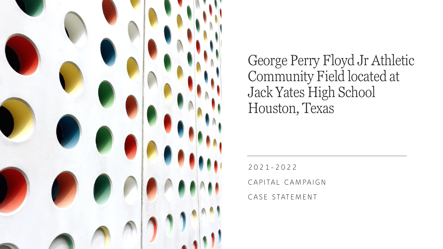

George Perry Floyd Jr Athletic Community Field located at Jack Yates High School Houston, Texas

2021-2022

CAPITAL CAMPAIGN

CASE STATEMENT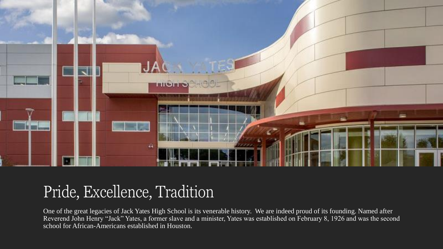

### Pride, Excellence, Tradition

One of the great legacies of Jack Yates High School is its venerable history. We are indeed proud of its founding. Named after Reverend John Henry "Jack" Yates, a former slave and a minister, Yates was established on February 8, 1926 and was the second school for African-Americans established in Houston.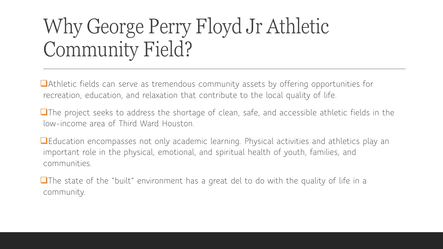# Why George Perry Floyd Jr Athletic Community Field?

❑Athletic fields can serve as tremendous community assets by offering opportunities for recreation, education, and relaxation that contribute to the local quality of life.

❑The project seeks to address the shortage of clean, safe, and accessible athletic fields in the low-income area of Third Ward Houston.

❑Education encompasses not only academic learning. Physical activities and athletics play an important role in the physical, emotional, and spiritual health of youth, families, and communities.

❑The state of the "built" environment has a great del to do with the quality of life in a community.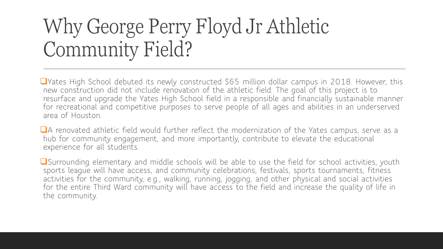# Why George Perry Floyd Jr Athletic Community Field?

❑Yates High School debuted its newly constructed \$65 million dollar campus in 2018. However, this new construction did not include renovation of the athletic field. The goal of this project is to resurface and upgrade the Yates High School field in a responsible and financially sustainable manner for recreational and competitive purposes to serve people of all ages and abilities in an underserved area of Houston.

■A renovated athletic field would further reflect the modernization of the Yates campus, serve as a hub for community engagement, and more importantly, contribute to elevate the educational experience for all students.

■Surrounding elementary and middle schools will be able to use the field for school activities, youth sports league will have access, and community celebrations, festivals, sports tournaments, fitness activities for the community, e.g., walking, running, jogging, and other physical and social activities for the entire Third Ward community will have access to the field and increase the quality of life in the community.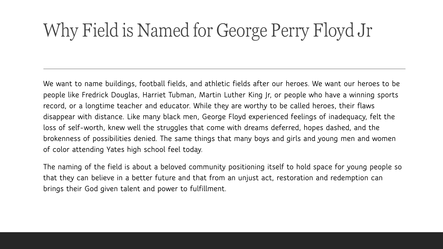### Why Field is Named for George Perry Floyd Jr

**We want to name buildings, football fields, and athletic fields after our heroes. We want our heroes to be people like Fredrick Douglas, Harriet Tubman, Martin Luther King Jr, or people who have a winning sports record, or a longtime teacher and educator. While they are worthy to be called heroes, their flaws disappear with distance. Like many black men, George Floyd experienced feelings of inadequacy, felt the loss of self-worth, knew well the struggles that come with dreams deferred, hopes dashed, and the brokenness of possibilities denied. The same things that many boys and girls and young men and women of color attending Yates high school feel today.**

**The naming of the field is about a beloved community positioning itself to hold space for young people so that they can believe in a better future and that from an unjust act, restoration and redemption can brings their God given talent and power to fulfillment.**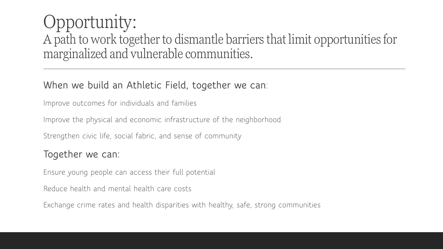### Opportunity: A path to work together to dismantle barriers that limit opportunities for marginalized and vulnerable communities.

### **When we build an Athletic Field, together we can**:

Improve outcomes for individuals and families

Improve the physical and economic infrastructure of the neighborhood

Strengthen civic life, social fabric, and sense of community

#### **Together we can:**

Ensure young people can access their full potential

Reduce health and mental health care costs

Exchange crime rates and health disparities with healthy, safe, strong communities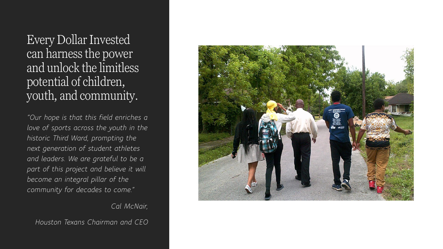Every Dollar Invested can harness the power and unlock the limitless potential of children, youth, and community.

*"Our hope is that this field enriches a love of sports across the youth in the historic Third Ward, prompting the next generation of student athletes and leaders. We are grateful to be a part of this project and believe it will become an integral pillar of the community for decades to come."*

*Cal McNair,* 

*Houston Texans Chairman and CEO*

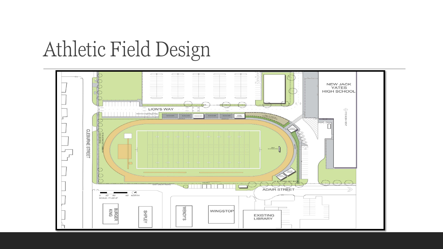### Athletic Field Design

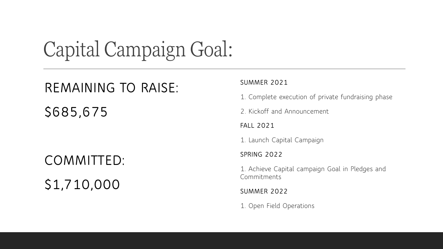### Capital Campaign Goal:

### **REMAINING TO RAISE:**

**\$685,675**

**COMMITTED: \$1,710,000**

#### **SUMMER 2021**

1. Complete execution of private fundraising phase

2. Kickoff and Announcement

**FALL 2021**

1. Launch Capital Campaign

**SPRING 2022**

1. Achieve Capital campaign Goal in Pledges and Commitments

**SUMMER 2022**

1. Open Field Operations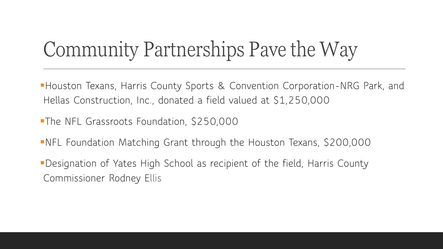# Community Partnerships Pave the Way

- **Houston Texans, Harris County Sports & Convention Corporation-NRG Park, and** Hellas Construction, Inc., donated a field valued at \$1,250,000
- **The NFL Grassroots Foundation, \$250,000**
- **-NFL Foundation Matching Grant through the Houston Texans, \$200,000**
- **•Designation of Yates High School as recipient of the field, Harris County** Commissioner Rodney Ellis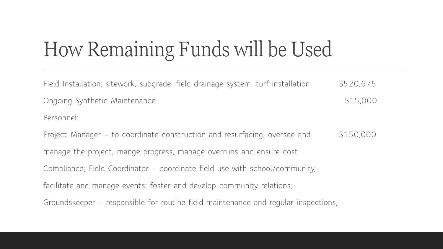# How Remaining Funds will be Used

| Field Installation: sitework, subgrade, field drainage system, turf installation   | \$520,675 |  |
|------------------------------------------------------------------------------------|-----------|--|
| Ongoing Synthetic Maintenance                                                      | \$15,000  |  |
| Personnel:                                                                         |           |  |
| Project Manager - to coordinate construction and resurfacing, oversee and          | \$150,000 |  |
| manage the project, mange progress, manage overruns and ensure cost                |           |  |
| Compliance; Field Coordinator - coordinate field use with school/community,        |           |  |
| facilitate and manage events; foster and develop community relations;              |           |  |
| Groundskeeper – responsible for routine field maintenance and regular inspections, |           |  |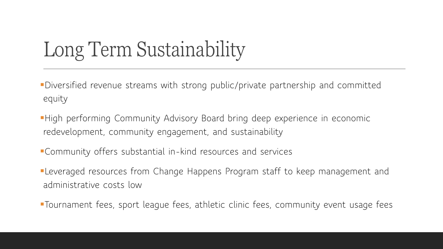# Long Term Sustainability

▪Diversified revenue streams with strong public/private partnership and committed equity

- **High performing Community Advisory Board bring deep experience in economic** redevelopment, community engagement, and sustainability
- ▪Community offers substantial in-kind resources and services
- **ELeveraged resources from Change Happens Program staff to keep management and** administrative costs low
- ▪Tournament fees, sport league fees, athletic clinic fees, community event usage fees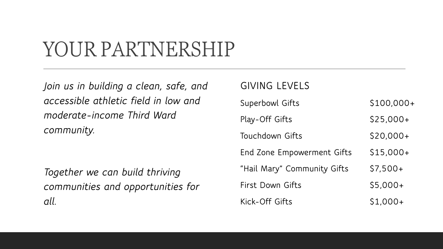### YOUR PARTNERSHIP

*Join us in building a clean, safe, and accessible athletic field in low and moderate-income Third Ward community.*

*Together we can build thriving communities and opportunities for all.*

#### **GIVING LEVELS**

| <b>Superbowl Gifts</b>      | $$100,000+$ |
|-----------------------------|-------------|
| Play-Off Gifts              | $$25,000+$  |
| Touchdown Gifts             | $$20,000+$  |
| End Zone Empowerment Gifts  | $$15,000+$  |
| "Hail Mary" Community Gifts | $$7,500+$   |
| First Down Gifts            | $$5,000+$   |
| Kick-Off Gifts              | $$1,000+$   |